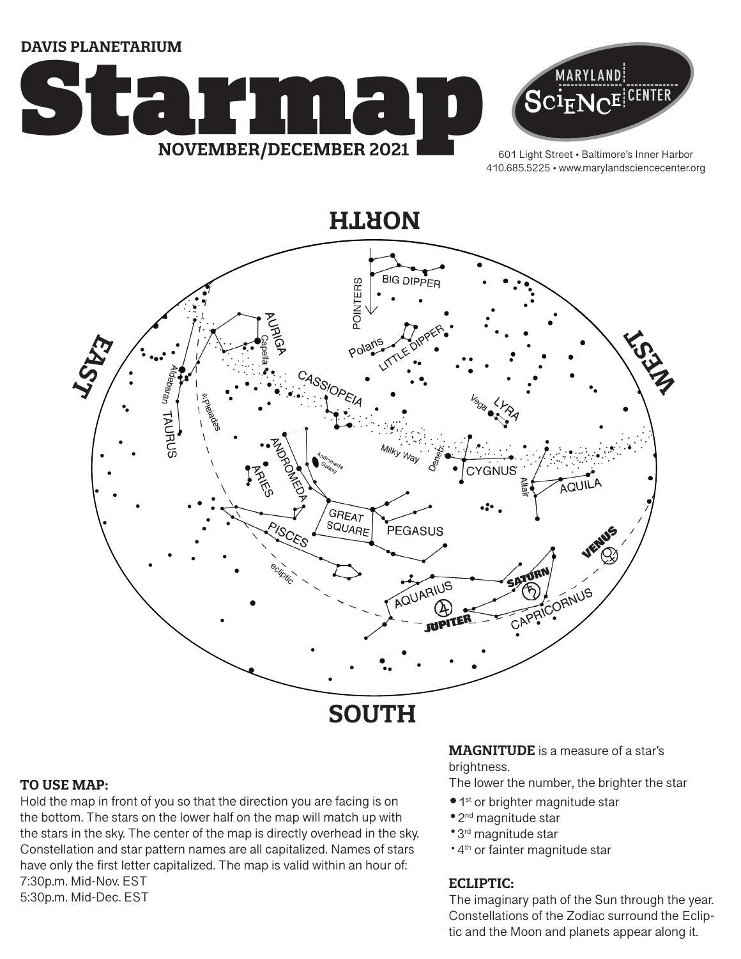**DAVIS PLANETARIUM**





601 Light Street • Baltimore's Inner Harbor 410.685.5225 • www.marylandsciencecenter.org



# **SOUTH**

#### **TO USE MAP:**

Hold the map in front of you so that the direction you are facing is on the bottom. The stars on the lower half on the map will match up with the stars in the sky. The center of the map is directly overhead in the sky. Constellation and star pattern names are all capitalized. Names of stars have only the first letter capitalized. The map is valid within an hour of: 7:30p.m. Mid-Nov. EST 5:30p.m. Mid-Dec. EST

#### **MAGNITUDE** is a measure of a star's brightness.

The lower the number, the brighter the star

- $\bullet$  1st or brighter magnitude star
- 2<sup>nd</sup> magnitude star
- 3rd magnitude star
- \* 4<sup>th</sup> or fainter magnitude star

### **ECLIPTIC:**

The imaginary path of the Sun through the year. Constellations of the Zodiac surround the Ecliptic and the Moon and planets appear along it.